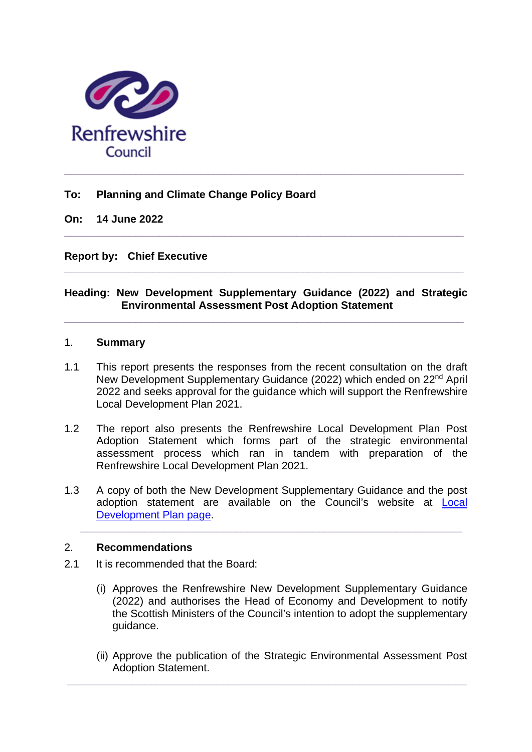

# **To: Planning and Climate Change Policy Board**

**On: 14 June 2022**

**Report by: Chief Executive** 

### **Heading: New Development Supplementary Guidance (2022) and Strategic Environmental Assessment Post Adoption Statement**

**\_\_\_\_\_\_\_\_\_\_\_\_\_\_\_\_\_\_\_\_\_\_\_\_\_\_\_\_\_\_\_\_\_\_\_\_\_\_\_\_\_\_\_\_\_\_\_\_\_\_\_\_\_\_\_\_\_\_\_\_\_\_\_\_\_\_\_**

**\_\_\_\_\_\_\_\_\_\_\_\_\_\_\_\_\_\_\_\_\_\_\_\_\_\_\_\_\_\_\_\_\_\_\_\_\_\_\_\_\_\_\_\_\_\_\_\_\_\_\_\_\_\_\_\_\_\_\_\_\_\_\_\_\_\_\_**

**\_\_\_\_\_\_\_\_\_\_\_\_\_\_\_\_\_\_\_\_\_\_\_\_\_\_\_\_\_\_\_\_\_\_\_\_\_\_\_\_\_\_\_\_\_\_\_\_\_\_\_\_\_\_\_\_\_\_\_\_\_\_\_\_\_\_\_**

#### 1. **Summary**

- 1.1 This report presents the responses from the recent consultation on the draft New Development Supplementary Guidance (2022) which ended on 22nd April 2022 and seeks approval for the guidance which will support the Renfrewshire Local Development Plan 2021.
- 1.2 The report also presents the Renfrewshire Local Development Plan Post Adoption Statement which forms part of the strategic environmental assessment process which ran in tandem with preparation of the Renfrewshire Local Development Plan 2021.
- 1.3 A copy of both the New Development Supplementary Guidance and the post adoption statement are available on the Council's website at [Local](https://www.renfrewshire.gov.uk/article/3070/Local-Development-Plan-2)  [Development Plan page.](https://www.renfrewshire.gov.uk/article/3070/Local-Development-Plan-2)

**\_\_\_\_\_\_\_\_\_\_\_\_\_\_\_\_\_\_\_\_\_\_\_\_\_\_\_\_\_\_\_\_\_\_\_\_\_\_\_\_\_\_\_\_\_\_\_\_\_\_\_\_\_\_\_\_\_\_\_\_\_\_\_\_**

#### 2. **Recommendations**

- 2.1 It is recommended that the Board:
	- (i) Approves the Renfrewshire New Development Supplementary Guidance (2022) and authorises the Head of Economy and Development to notify the Scottish Ministers of the Council's intention to adopt the supplementary guidance.
	- (ii) Approve the publication of the Strategic Environmental Assessment Post Adoption Statement.

**\_\_\_\_\_\_\_\_\_\_\_\_\_\_\_\_\_\_\_\_\_\_\_\_\_\_\_\_\_\_\_\_\_\_\_\_\_\_\_\_\_\_\_\_\_\_\_\_\_\_\_\_\_\_\_\_\_\_\_\_\_\_\_\_\_\_\_**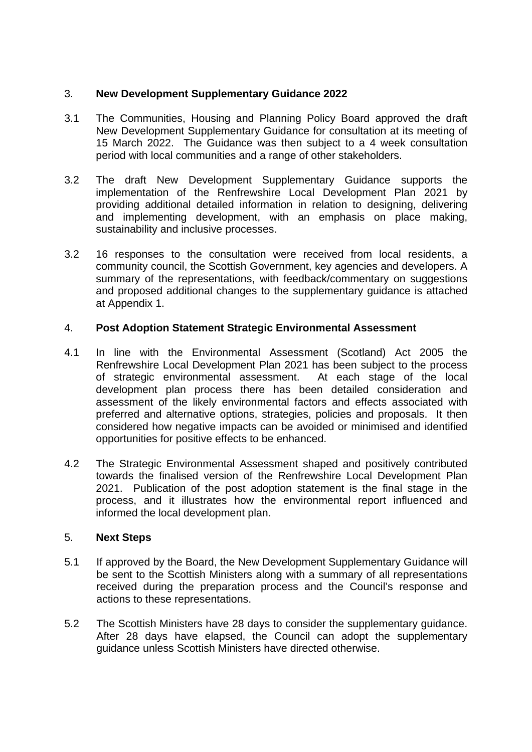## 3. **New Development Supplementary Guidance 2022**

- 3.1 The Communities, Housing and Planning Policy Board approved the draft New Development Supplementary Guidance for consultation at its meeting of 15 March 2022. The Guidance was then subject to a 4 week consultation period with local communities and a range of other stakeholders.
- 3.2 The draft New Development Supplementary Guidance supports the implementation of the Renfrewshire Local Development Plan 2021 by providing additional detailed information in relation to designing, delivering and implementing development, with an emphasis on place making, sustainability and inclusive processes.
- 3.2 16 responses to the consultation were received from local residents, a community council, the Scottish Government, key agencies and developers. A summary of the representations, with feedback/commentary on suggestions and proposed additional changes to the supplementary guidance is attached at Appendix 1.

## 4. **Post Adoption Statement Strategic Environmental Assessment**

- 4.1 In line with the Environmental Assessment (Scotland) Act 2005 the Renfrewshire Local Development Plan 2021 has been subject to the process of strategic environmental assessment. At each stage of the local development plan process there has been detailed consideration and assessment of the likely environmental factors and effects associated with preferred and alternative options, strategies, policies and proposals. It then considered how negative impacts can be avoided or minimised and identified opportunities for positive effects to be enhanced.
- 4.2 The Strategic Environmental Assessment shaped and positively contributed towards the finalised version of the Renfrewshire Local Development Plan 2021. Publication of the post adoption statement is the final stage in the process, and it illustrates how the environmental report influenced and informed the local development plan.

#### 5. **Next Steps**

- 5.1 If approved by the Board, the New Development Supplementary Guidance will be sent to the Scottish Ministers along with a summary of all representations received during the preparation process and the Council's response and actions to these representations.
- 5.2 The Scottish Ministers have 28 days to consider the supplementary guidance. After 28 days have elapsed, the Council can adopt the supplementary guidance unless Scottish Ministers have directed otherwise.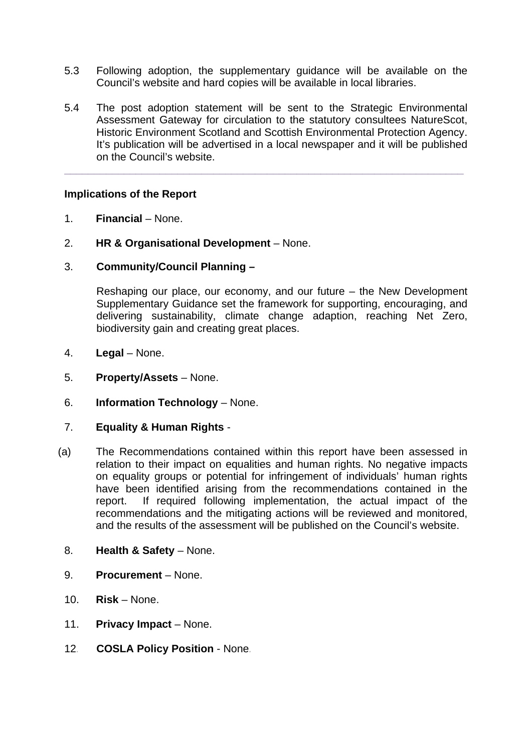- 5.3 Following adoption, the supplementary guidance will be available on the Council's website and hard copies will be available in local libraries.
- 5.4 The post adoption statement will be sent to the Strategic Environmental Assessment Gateway for circulation to the statutory consultees NatureScot, Historic Environment Scotland and Scottish Environmental Protection Agency. It's publication will be advertised in a local newspaper and it will be published on the Council's website.

**\_\_\_\_\_\_\_\_\_\_\_\_\_\_\_\_\_\_\_\_\_\_\_\_\_\_\_\_\_\_\_\_\_\_\_\_\_\_\_\_\_\_\_\_\_\_\_\_\_\_\_\_\_\_\_\_\_\_\_\_\_\_\_\_\_\_\_**

#### **Implications of the Report**

- 1. **Financial** None.
- 2. **HR & Organisational Development** None.
- 3. **Community/Council Planning –**

Reshaping our place, our economy, and our future – the New Development Supplementary Guidance set the framework for supporting, encouraging, and delivering sustainability, climate change adaption, reaching Net Zero, biodiversity gain and creating great places.

- 4. **Legal** None.
- 5. **Property/Assets** None.
- 6. **Information Technology** None.
- 7. **Equality & Human Rights** -
- (a) The Recommendations contained within this report have been assessed in relation to their impact on equalities and human rights. No negative impacts on equality groups or potential for infringement of individuals' human rights have been identified arising from the recommendations contained in the report. If required following implementation, the actual impact of the recommendations and the mitigating actions will be reviewed and monitored, and the results of the assessment will be published on the Council's website.
	- 8. **Health & Safety** None.
	- 9. **Procurement** None.
	- 10. **Risk** None.
	- 11. **Privacy Impact** None.
	- 12*.* **COSLA Policy Position** None*.*